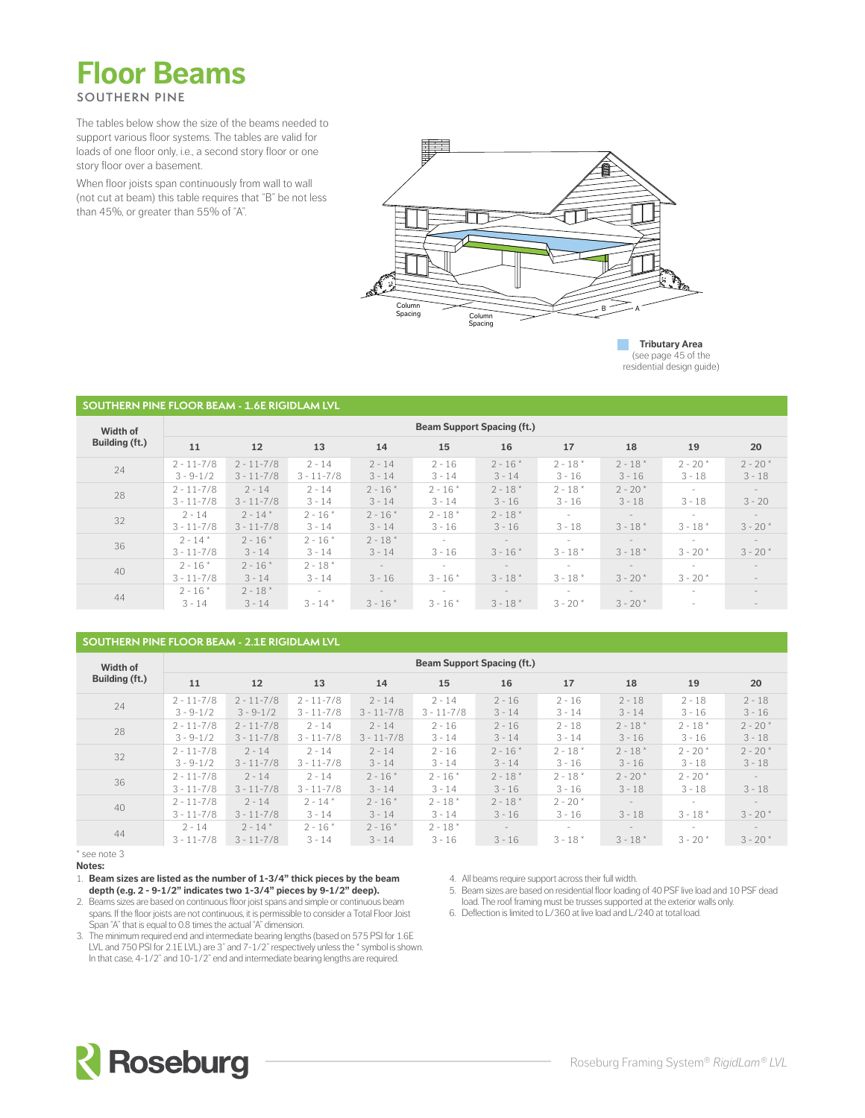

The tables below show the size of the beams needed to support various floor systems. The tables are valid for loads of one floor only, i.e., a second story floor or one story floor over a basement.

When floor joists span continuously from wall to wall (not cut at beam) this table requires that "B" be not less than 45%, or greater than 55% of "A".



**Tributary Area** (see page 45 of the residential design guide)

#### **SOUTHERN PINE FLOOR BEAM - 1.6E RIGIDLAM LVL**

| Width of       | <b>Beam Support Spacing (ft.)</b> |                                  |                            |                                       |                                       |                                       |                        |                                        |                          |                                               |  |  |  |  |
|----------------|-----------------------------------|----------------------------------|----------------------------|---------------------------------------|---------------------------------------|---------------------------------------|------------------------|----------------------------------------|--------------------------|-----------------------------------------------|--|--|--|--|
| Building (ft.) | 11                                | 12                               | 13                         | 14                                    | 15                                    | 16                                    | 17                     | 18                                     | 19                       | 20                                            |  |  |  |  |
| 24             | $2 - 11 - 7/8$<br>$3 - 9 - 1/2$   | $2 - 11 - 7/8$<br>$3 - 11 - 7/8$ | $2 - 14$<br>$3 - 11 - 7/8$ | $2 - 14$<br>$3 - 14$                  | $2 - 16$<br>$3 - 14$                  | $2 - 16*$<br>$3 - 14$                 | $2 - 18''$<br>$3 - 16$ | $2 - 18$ *<br>$3 - 16$                 | $2 - 20*$<br>$3 - 18$    | $2 - 20*$<br>$3 - 18$                         |  |  |  |  |
| 28             | $2 - 11 - 7/8$<br>$3 - 11 - 7/8$  | $2 - 14$<br>$3 - 11 - 7/8$       | $2 - 14$<br>$3 - 14$       | $2 - 16*$<br>$3 - 14$                 | $2 - 16*$<br>$3 - 14$                 | $2 - 18*$<br>$3 - 16$                 | $2 - 18''$<br>$3 - 16$ | $2 - 20*$<br>$3 - 18$                  | $3 - 18$                 | $\sim$<br>$3 - 20$                            |  |  |  |  |
| 32             | $2 - 14$<br>$3 - 11 - 7/8$        | $2 - 14^{*}$<br>$3 - 11 - 7/8$   | $2 - 16*$<br>$3 - 14$      | $2 - 16*$<br>$3 - 14$                 | $2 - 18*$<br>$3 - 16$                 | $2 - 18*$<br>$3 - 16$                 | $\sim$<br>$3 - 18$     | $\overline{\phantom{a}}$<br>$3 - 18''$ | $3 - 18''$               | $\sim$<br>$3 - 20*$                           |  |  |  |  |
| 36             | $2 - 14*$<br>$3 - 11 - 7/8$       | $2 - 16*$<br>$3 - 14$            | $2 - 16*$<br>$3 - 14$      | $2 - 18*$<br>$3 - 14$                 | $\sim$<br>$3 - 16$                    | $\sim$<br>$3 - 16*$                   | $\sim$<br>$3 - 18''$   | $\overline{\phantom{a}}$<br>$3 - 18''$ | $3 - 20*$                | $\sim$<br>$3 - 20*$                           |  |  |  |  |
| 40             | $2 - 16*$<br>$3 - 11 - 7/8$       | $2 - 16*$<br>$3 - 14$            | $2 - 18*$<br>$3 - 14$      | $ \,$<br>$3 - 16$                     | $\overline{\phantom{a}}$<br>$3 - 16*$ | $\sim$<br>$3 - 18*$                   | $\sim$<br>$3 - 18''$   | $\sim$<br>$3 - 20*$                    | $3 - 20*$                | $\overline{\phantom{a}}$<br>$\qquad \qquad -$ |  |  |  |  |
| 44             | $2 - 16*$<br>$3 - 14$             | $2 - 18*$<br>$3 - 14$            | $\sim$<br>$3 - 14''$       | $\overline{\phantom{a}}$<br>$3 - 16*$ | $\overline{\phantom{a}}$<br>$3 - 16*$ | $\overline{\phantom{a}}$<br>$3 - 18*$ | $\sim$<br>$3 - 20*$    | $\overline{\phantom{a}}$<br>$3 - 20*$  | $\overline{\phantom{a}}$ | $\overline{a}$<br>$\qquad \qquad -$           |  |  |  |  |

### **SOUTHERN PINE FLOOR BEAM - 2.1E RIGIDLAM LVL**

| Width of       | <b>Beam Support Spacing (ft.)</b> |                |                |                |                |           |            |                          |            |                          |  |  |  |  |
|----------------|-----------------------------------|----------------|----------------|----------------|----------------|-----------|------------|--------------------------|------------|--------------------------|--|--|--|--|
| Building (ft.) | 11                                | 12             | 13             | 14             | 15             | 16        | 17         | 18                       | 19         | 20                       |  |  |  |  |
| 24             | $2 - 11 - 7/8$                    | $2 - 11 - 7/8$ | $2 - 11 - 7/8$ | $2 - 14$       | $2 - 14$       | $2 - 16$  | $2 - 16$   | $2 - 18$                 | $2 - 18$   | $2 - 18$                 |  |  |  |  |
|                | $3 - 9 - 1/2$                     | $3 - 9 - 1/2$  | $3 - 11 - 7/8$ | $3 - 11 - 7/8$ | $3 - 11 - 7/8$ | $3 - 14$  | $3 - 14$   | $3 - 14$                 | $3 - 16$   | $3 - 16$                 |  |  |  |  |
|                | $2 - 11 - 7/8$                    | $2 - 11 - 7/8$ | $2 - 14$       | $2 - 14$       | $2 - 16$       | $2 - 16$  | $2 - 18$   | $2 - 18''$               | $2 - 18''$ | $2 - 20*$                |  |  |  |  |
| 28             | $3 - 9 - 1/2$                     | $3 - 11 - 7/8$ | $3 - 11 - 7/8$ | $3 - 11 - 7/8$ | $3 - 14$       | $3 - 14$  | $3 - 14$   | $3 - 16$                 | $3 - 16$   | $3 - 18$                 |  |  |  |  |
|                | $2 - 11 - 7/8$                    | $2 - 14$       | $2 - 14$       | $2 - 14$       | $2 - 16$       | $2 - 16*$ | $2 - 18''$ | $2 - 18''$               | $2 - 20*$  | $2 - 20*$                |  |  |  |  |
| 32             | $3 - 9 - 1/2$                     | $3 - 11 - 7/8$ | $3 - 11 - 7/8$ | $3 - 14$       | $3 - 14$       | $3 - 14$  | $3 - 16$   | $3 - 16$                 | $3 - 18$   | $3 - 18$                 |  |  |  |  |
|                | $2 - 11 - 7/8$                    | $2 - 14$       | $2 - 14$       | $2 - 16*$      | $2 - 16*$      | $2 - 18*$ | $2 - 18*$  | $2 - 20*$                | $2 - 20*$  | $\overline{\phantom{a}}$ |  |  |  |  |
| 36             | $3 - 11 - 7/8$                    | $3 - 11 - 7/8$ | $3 - 11 - 7/8$ | $3 - 14$       | $3 - 14$       | $3 - 16$  | $3 - 16$   | $3 - 18$                 | $3 - 18$   | $3 - 18$                 |  |  |  |  |
| 40             | $2 - 11 - 7/8$                    | $2 - 14$       | $2 - 14''$     | $2 - 16*$      | $2 - 18*$      | $2 - 18*$ | $2 - 20*$  | $\overline{\phantom{a}}$ | ÷.         | $-$                      |  |  |  |  |
|                | $3 - 11 - 7/8$                    | $3 - 11 - 7/8$ | $3 - 14$       | $3 - 14$       | $3 - 14$       | $3 - 16$  | $3 - 16$   | $3 - 18$                 | $3 - 18''$ | $3 - 20*$                |  |  |  |  |
|                | $2 - 14$                          | $2 - 14$ *     | $2 - 16*$      | $2 - 16*$      | $2 - 18*$      | $\sim$    | $\sim$     | $-$                      | ÷.         | $-$                      |  |  |  |  |
| 44             | $3 - 11 - 7/8$                    | $3 - 11 - 7/8$ | $3 - 14$       | $3 - 14$       | $3 - 16$       | $3 - 16$  | $3 - 18*$  | $3 - 18*$                | $3 - 20*$  | $3 - 20*$                |  |  |  |  |

\* see note 3 **Notes:**

4. All beams require support across their full width.

- 5. Beam sizes are based on residential floor loading of 40 PSF live load and 10 PSF dead load. The roof framing must be trusses supported at the exterior walls only.
- 6. Deflection is limited to L/360 at live load and L/240 at total load.



<sup>1.</sup> **Beam sizes are listed as the number of 1-3/4" thick pieces by the beam depth (e.g. 2 - 9-1/2" indicates two 1-3/4" pieces by 9-1/2" deep).**

<sup>2.</sup> Beams sizes are based on continuous floor joist spans and simple or continuous beam spans. If the floor joists are not continuous, it is permissible to consider a Total Floor Joist Span "A" that is equal to 0.8 times the actual "A" dimension.

<sup>3.</sup> The minimum required end and intermediate bearing lengths (based on 575 PSI for 1.6E LVL and 750 PSI for 2.1E LVL) are 3" and 7-1/2" respectively unless the \* symbol is shown. In that case, 4-1/2" and 10-1/2" end and intermediate bearing lengths are required.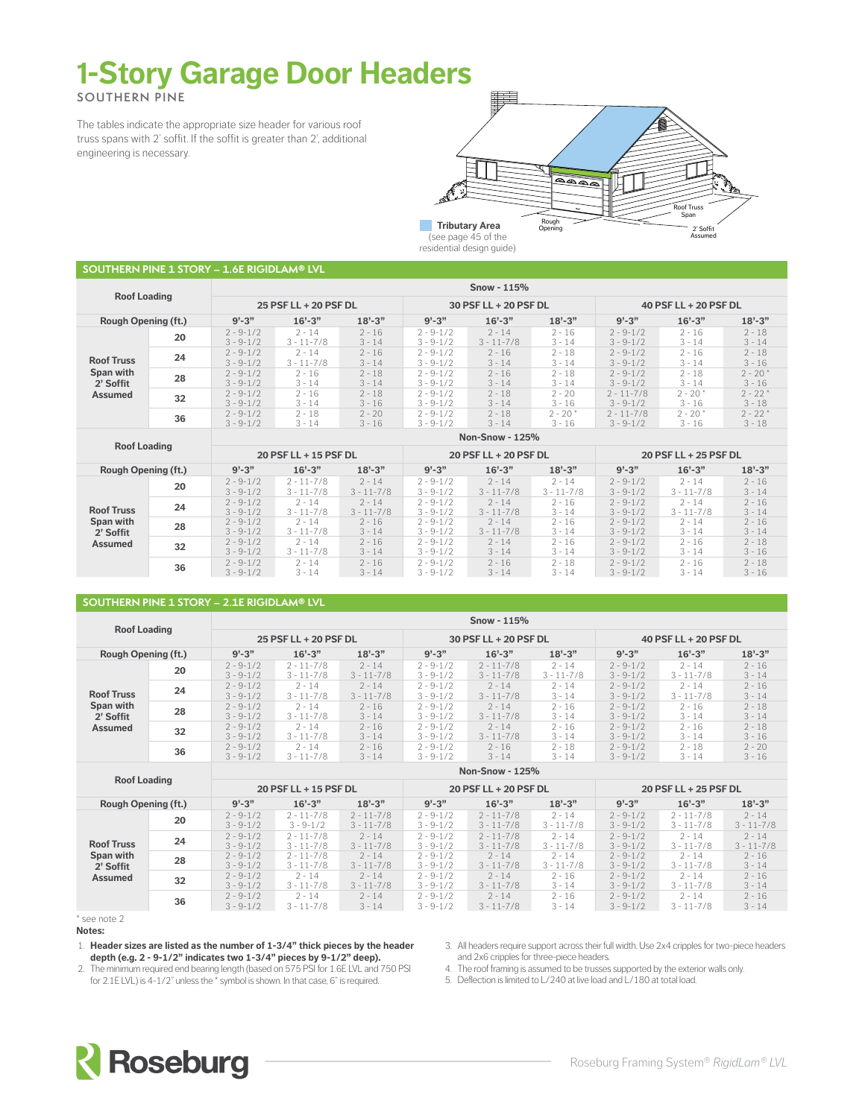# **1-Story Garage Door Headers**

**SOUTHERN PINE**

The tables indicate the appropriate size header for various roof truss spans with 2' soffit. If the soffit is greater than 2', additional engineering is necessary.



residential design guide)

| <b>Roof Loading</b>        |    |                                | Snow - 115%                |                      |                                |                            |                       |                                 |                       |                       |  |  |  |  |
|----------------------------|----|--------------------------------|----------------------------|----------------------|--------------------------------|----------------------------|-----------------------|---------------------------------|-----------------------|-----------------------|--|--|--|--|
|                            |    |                                | 25 PSF LL + 20 PSF DL      |                      |                                | 30 PSF LL + 20 PSF DL      |                       |                                 | 40 PSF LL + 20 PSF DL |                       |  |  |  |  |
| <b>Rough Opening (ft.)</b> |    | $9' - 3''$                     | $16' - 3''$                | $18' - 3''$          | $9' - 3''$                     | $16' - 3''$                | $18 - 3$              | $9' - 3''$                      | $16'-3''$             | $18 - 3"$             |  |  |  |  |
|                            | 20 |                                | $2 - 14$<br>$3 - 11 - 7/8$ | $2 - 16$<br>$3 - 14$ | $2 - 9 - 1/2$<br>$3 - 9 - 1/2$ | $2 - 14$<br>$3 - 11 - 7/8$ | $2 - 16$<br>$3 - 14$  | $2 - 9 - 1/2$<br>$3 - 9 - 1/2$  | $2 - 16$<br>$3 - 14$  | $2 - 18$<br>$3 - 14$  |  |  |  |  |
| <b>Roof Truss</b>          | 24 | $2 - 9 - 1/2$<br>$3 - 9 - 1/2$ | $2 - 14$<br>$3 - 11 - 7/8$ | $2 - 16$<br>$3 - 14$ | $2 - 9 - 1/2$<br>$3 - 9 - 1/2$ | $2 - 16$<br>$3 - 14$       | $2 - 18$<br>$3 - 14$  | $2 - 9 - 1/2$<br>$3 - 9 - 1/2$  | $2 - 16$<br>$3 - 14$  | $2 - 18$<br>$3 - 16$  |  |  |  |  |
| Span with<br>2' Soffit     | 28 | $2 - 9 - 1/2$<br>$3 - 9 - 1/2$ | $2 - 16$<br>$3 - 14$       | $2 - 18$<br>$3 - 14$ | $2 - 9 - 1/2$<br>$3 - 9 - 1/2$ | $2 - 16$<br>$3 - 14$       | $2 - 18$<br>$3 - 14$  | $2 - 9 - 1/2$<br>$3 - 9 - 1/2$  | $2 - 18$<br>$3 - 14$  | $2 - 20*$<br>$3 - 16$ |  |  |  |  |
| Assumed                    | 32 | $2 - 9 - 1/2$<br>$3 - 9 - 1/2$ | $2 - 16$<br>$3 - 14$       | $2 - 18$<br>$3 - 16$ | $2 - 9 - 1/2$<br>$3 - 9 - 1/2$ | $2 - 18$<br>$3 - 14$       | $2 - 20$<br>$3 - 16$  | $2 - 11 - 7/8$<br>$3 - 9 - 1/2$ | $2 - 20*$<br>$3 - 16$ | $2 - 22*$<br>$3 - 18$ |  |  |  |  |
| 36                         |    | $2 - 9 - 1/2$<br>$3 - 9 - 1/2$ | $2 - 18$<br>$3 - 14$       | $2 - 20$<br>$3 - 16$ | $2 - 9 - 1/2$<br>$3 - 9 - 1/2$ | $2 - 18$<br>$3 - 14$       | $2 - 20*$<br>$3 - 16$ | $2 - 11 - 7/8$<br>$3 - 9 - 1/2$ | $2 - 20*$<br>$3 - 16$ | $2 - 22*$<br>$3 - 18$ |  |  |  |  |
|                            |    |                                |                            |                      |                                | <b>Non-Snow - 125%</b>     |                       |                                 |                       |                       |  |  |  |  |

| <b>Roof Loading</b>        |    |                                | 20 PSF LL + 15 PSF DL            |                            |                                | 20 PSF LL + 20 PSF DL      |                            | 20 PSF LL + 25 PSF DL          |                            |                      |  |
|----------------------------|----|--------------------------------|----------------------------------|----------------------------|--------------------------------|----------------------------|----------------------------|--------------------------------|----------------------------|----------------------|--|
| <b>Rough Opening (ft.)</b> |    | $9' - 3''$                     | $16' - 3''$                      | $18' - 3''$                | $9' - 3''$                     | $16' - 3''$                | $18 - 3"$                  | $9' - 3''$                     | $16'-3''$                  | $18 - 3"$            |  |
|                            | 20 | $2 - 9 - 1/2$<br>$3 - 9 - 1/2$ | $2 - 11 - 7/8$<br>$3 - 11 - 7/8$ | $2 - 14$<br>$3 - 11 - 7/8$ | $2 - 9 - 1/2$<br>$3 - 9 - 1/2$ | $2 - 14$<br>$3 - 11 - 7/8$ | $2 - 14$<br>$3 - 11 - 7/8$ | $2 - 9 - 1/2$<br>$3 - 9 - 1/2$ | $2 - 14$<br>$3 - 11 - 7/8$ | $2 - 16$<br>$3 - 14$ |  |
| <b>Roof Truss</b>          | 24 | $2 - 9 - 1/2$<br>$3 - 9 - 1/2$ | $2 - 14$<br>$3 - 11 - 7/8$       | $2 - 14$<br>$3 - 11 - 7/8$ | $2 - 9 - 1/2$<br>$3 - 9 - 1/2$ | $2 - 14$<br>$3 - 11 - 7/8$ | $2 - 16$<br>$3 - 14$       | $2 - 9 - 1/2$<br>$3 - 9 - 1/2$ | $2 - 14$<br>$3 - 11 - 7/8$ | $2 - 16$<br>$3 - 14$ |  |
| Span with<br>2' Soffit     | 28 | $2 - 9 - 1/2$<br>$3 - 9 - 1/2$ | $2 - 14$<br>$3 - 11 - 7/8$       | $2 - 16$<br>$3 - 14$       | $2 - 9 - 1/2$<br>$3 - 9 - 1/2$ | $2 - 14$<br>$3 - 11 - 7/8$ | $2 - 16$<br>$3 - 14$       | $2 - 9 - 1/2$<br>$3 - 9 - 1/2$ | $2 - 14$<br>$3 - 14$       | $2 - 16$<br>$3 - 14$ |  |
| Assumed                    | 32 | $2 - 9 - 1/2$<br>$3 - 9 - 1/2$ | $2 - 14$<br>$3 - 11 - 7/8$       | $2 - 16$<br>$3 - 14$       | $2 - 9 - 1/2$<br>$3 - 9 - 1/2$ | $2 - 14$<br>$3 - 14$       | $2 - 16$<br>$3 - 14$       | $2 - 9 - 1/2$<br>$3 - 9 - 1/2$ | $2 - 16$<br>$3 - 14$       | $2 - 18$<br>$3 - 16$ |  |
| 36                         |    | $2 - 9 - 1/2$<br>$3 - 9 - 1/2$ | $2 - 14$<br>$3 - 14$             | $2 - 16$<br>$3 - 14$       | $2 - 9 - 1/2$<br>$3 - 9 - 1/2$ | $2 - 16$<br>$3 - 14$       | $2 - 18$<br>$3 - 14$       | $2 - 9 - 1/2$<br>$3 - 9 - 1/2$ | $2 - 16$<br>$3 - 14$       | $2 - 18$<br>$3 - 16$ |  |

### **SOUTHERN PINE 1 STORY – 2.1E RIGIDLAM® LVL**

| <b>Roof Loading</b>        |    |                                | Snow - $115%$                    |                            |                                |                                  |                            |                                |                            |                      |  |  |  |  |
|----------------------------|----|--------------------------------|----------------------------------|----------------------------|--------------------------------|----------------------------------|----------------------------|--------------------------------|----------------------------|----------------------|--|--|--|--|
|                            |    |                                | 25 PSF LL + 20 PSF DL            |                            |                                | 30 PSF LL + 20 PSF DL            |                            | 40 PSF LL + 20 PSF DL          |                            |                      |  |  |  |  |
| <b>Rough Opening (ft.)</b> |    | $9' - 3''$                     | $16' - 3''$                      | $18' - 3''$                | $9' - 3''$                     | $16' - 3''$                      | $18 - 3"$                  | $9' - 3''$                     | $16'-3''$                  | $18 - 3"$            |  |  |  |  |
|                            | 20 | $2 - 9 - 1/2$<br>$3 - 9 - 1/2$ | $2 - 11 - 7/8$<br>$3 - 11 - 7/8$ | $2 - 14$<br>$3 - 11 - 7/8$ | $2 - 9 - 1/2$<br>$3 - 9 - 1/2$ | $2 - 11 - 7/8$<br>$3 - 11 - 7/8$ | $2 - 14$<br>$3 - 11 - 7/8$ | $2 - 9 - 1/2$<br>$3 - 9 - 1/2$ | $2 - 14$<br>$3 - 11 - 7/8$ | $2 - 16$<br>$3 - 14$ |  |  |  |  |
| <b>Roof Truss</b>          | 24 | $2 - 9 - 1/2$<br>$3 - 9 - 1/2$ | $2 - 14$<br>$3 - 11 - 7/8$       | $2 - 14$<br>$3 - 11 - 7/8$ | $2 - 9 - 1/2$<br>$3 - 9 - 1/2$ | $2 - 14$<br>$3 - 11 - 7/8$       | $2 - 14$<br>$3 - 14$       | $2 - 9 - 1/2$<br>$3 - 9 - 1/2$ | $2 - 14$<br>$3 - 11 - 7/8$ | $2 - 16$<br>$3 - 14$ |  |  |  |  |
| Span with<br>2' Soffit     | 28 | $2 - 9 - 1/2$<br>$3 - 9 - 1/2$ | $2 - 14$<br>$3 - 11 - 7/8$       | $2 - 16$<br>$3 - 14$       | $2 - 9 - 1/2$<br>$3 - 9 - 1/2$ | $2 - 14$<br>$3 - 11 - 7/8$       | $2 - 16$<br>$3 - 14$       | $2 - 9 - 1/2$<br>$3 - 9 - 1/2$ | $2 - 16$<br>$3 - 14$       | $2 - 18$<br>$3 - 14$ |  |  |  |  |
| <b>Assumed</b>             | 32 | $2 - 9 - 1/2$<br>$3 - 9 - 1/2$ | $2 - 14$<br>$3 - 11 - 7/8$       | $2 - 16$<br>$3 - 14$       | $2 - 9 - 1/2$<br>$3 - 9 - 1/2$ | $2 - 14$<br>$3 - 11 - 7/8$       | $2 - 16$<br>$3 - 14$       | $2 - 9 - 1/2$<br>$3 - 9 - 1/2$ | $2 - 16$<br>$3 - 14$       | $2 - 18$<br>$3 - 16$ |  |  |  |  |
| 36                         |    | $2 - 9 - 1/2$<br>$3 - 9 - 1/2$ | $2 - 14$<br>$3 - 11 - 7/8$       | $2 - 16$<br>$3 - 14$       | $2 - 9 - 1/2$<br>$3 - 9 - 1/2$ | $2 - 16$<br>$3 - 14$             | $2 - 18$<br>$3 - 14$       | $2 - 9 - 1/2$<br>$3 - 9 - 1/2$ | $2 - 18$<br>$3 - 14$       | $2 - 20$<br>$3 - 16$ |  |  |  |  |
|                            |    |                                | $N$ on- $S$ now - 1250/          |                            |                                |                                  |                            |                                |                            |                      |  |  |  |  |

| <b>Roof Loading</b>        |    | ייטוו שוויט<br>----            |                                  |                                  |                                |                                  |                            |                                |                                  |                            |  |  |  |
|----------------------------|----|--------------------------------|----------------------------------|----------------------------------|--------------------------------|----------------------------------|----------------------------|--------------------------------|----------------------------------|----------------------------|--|--|--|
|                            |    |                                | 20 PSF LL + 15 PSF DL            |                                  |                                | 20 PSF LL + 20 PSF DL            |                            | 20 PSF LL + 25 PSF DL          |                                  |                            |  |  |  |
| <b>Rough Opening (ft.)</b> |    | $9' - 3''$                     | $16' - 3''$                      | $18' - 3"$                       | $9' - 3''$                     | $16' - 3''$                      | $18 - 3$                   | $9' - 3''$                     | $16' - 3''$                      | $18 - 3"$                  |  |  |  |
|                            | 20 | $2 - 9 - 1/2$<br>$3 - 9 - 1/2$ | $2 - 11 - 7/8$<br>$3 - 9 - 1/2$  | $2 - 11 - 7/8$<br>$3 - 11 - 7/8$ | $2 - 9 - 1/2$<br>$3 - 9 - 1/2$ | $2 - 11 - 7/8$<br>$3 - 11 - 7/8$ | $2 - 14$<br>$3 - 11 - 7/8$ | $2 - 9 - 1/2$<br>$3 - 9 - 1/2$ | $2 - 11 - 7/8$<br>$3 - 11 - 7/8$ | $2 - 14$<br>$3 - 11 - 7/8$ |  |  |  |
| <b>Roof Truss</b>          | 24 | $2 - 9 - 1/2$<br>$3 - 9 - 1/2$ | $2 - 11 - 7/8$<br>$3 - 11 - 7/8$ | $2 - 14$<br>$3 - 11 - 7/8$       | $2 - 9 - 1/2$<br>$3 - 9 - 1/2$ | $2 - 11 - 7/8$<br>$3 - 11 - 7/8$ | $2 - 14$<br>$3 - 11 - 7/8$ | $2 - 9 - 1/2$<br>$3 - 9 - 1/2$ | $2 - 14$<br>$3 - 11 - 7/8$       | $2 - 14$<br>$3 - 11 - 7/8$ |  |  |  |
| Span with<br>2' Soffit     | 28 | $2 - 9 - 1/2$<br>$3 - 9 - 1/2$ | $2 - 11 - 7/8$<br>$3 - 11 - 7/8$ | $2 - 14$<br>$3 - 11 - 7/8$       | $2 - 9 - 1/2$<br>$3 - 9 - 1/2$ | $2 - 14$<br>$3 - 11 - 7/8$       | $2 - 14$<br>$3 - 11 - 7/8$ | $2 - 9 - 1/2$<br>$3 - 9 - 1/2$ | $2 - 14$<br>$3 - 11 - 7/8$       | $2 - 16$<br>$3 - 14$       |  |  |  |
| <b>Assumed</b>             | 32 | $2 - 9 - 1/2$<br>$3 - 9 - 1/2$ | $2 - 14$<br>$3 - 11 - 7/8$       | $2 - 14$<br>$3 - 11 - 7/8$       | $2 - 9 - 1/2$<br>$3 - 9 - 1/2$ | $2 - 14$<br>$3 - 11 - 7/8$       | $2 - 16$<br>$3 - 14$       | $2 - 9 - 1/2$<br>$3 - 9 - 1/2$ | $2 - 14$<br>$3 - 11 - 7/8$       | $2 - 16$<br>$3 - 14$       |  |  |  |
|                            | 36 | $2 - 9 - 1/2$<br>$3 - 9 - 1/2$ | $2 - 14$<br>$3 - 11 - 7/8$       | $2 - 14$<br>$3 - 14$             | $2 - 9 - 1/2$<br>$3 - 9 - 1/2$ | $2 - 14$<br>$3 - 11 - 7/8$       | $2 - 16$<br>$3 - 14$       | $2 - 9 - 1/2$<br>$3 - 9 - 1/2$ | $2 - 14$<br>$3 - 11 - 7/8$       | $2 - 16$<br>$3 - 14$       |  |  |  |

\* see note 2 **Notes:**

1. **Header sizes are listed as the number of 1-3/4" thick pieces by the header depth (e.g. 2 - 9-1/2" indicates two 1-3/4" pieces by 9-1/2" deep).**

3. All headers require support across their full width. Use 2x4 cripples for two-piece headers and 2x6 cripples for three-piece headers.

2. The minimum required end bearing length (based on 575 PSI for 1.6E LVL and 750 PSI for 2.1E LVL) is 4-1/2" unless the \* symbol is shown. In that case, 6" is required.

4. The roof framing is assumed to be trusses supported by the exterior walls only.

5. Deflection is limited to L/240 at live load and L/180 at total load.

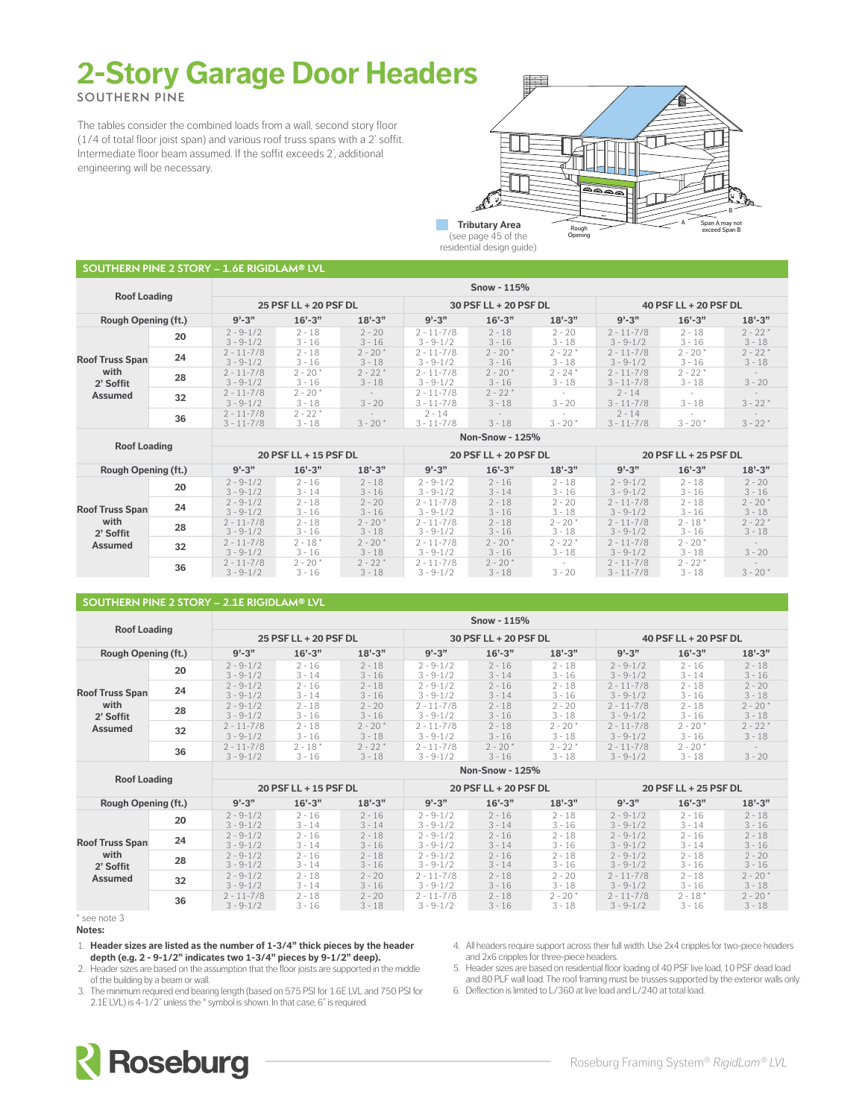# **2-Story Garage Door Headers**

**SOUTHERN PINE**

The tables consider the combined loads from a wall, second story floor (1/4 of total floor joist span) and various roof truss spans with a 2' soffit. Intermediate floor beam assumed. If the soffit exceeds 2', additional engineering will be necessary.



(see page 45 of the residential design guide)

| <b>SOUTHERN PINE 2 STORY – 1.6E RIGIDLAM® LVL</b> |    |                                  |                       |                        |                                  |                                      |                        |                                  |                        |                       |  |  |  |
|---------------------------------------------------|----|----------------------------------|-----------------------|------------------------|----------------------------------|--------------------------------------|------------------------|----------------------------------|------------------------|-----------------------|--|--|--|
|                                                   |    | Snow - $115%$                    |                       |                        |                                  |                                      |                        |                                  |                        |                       |  |  |  |
| <b>Roof Loading</b>                               |    |                                  | 25 PSF LL + 20 PSF DL |                        |                                  | 30 PSF LL + 20 PSF DL                |                        | 40 PSF LL + 20 PSF DL            |                        |                       |  |  |  |
| <b>Rough Opening (ft.)</b>                        |    | $9' - 3"$                        | $16'-3''$             | $18 - 3$               | $9' - 3''$                       | $16'-3''$                            | $18 - 3"$              | $9' - 3''$                       | $16' - 3''$            | $18 - 3"$             |  |  |  |
|                                                   | 20 | $2 - 9 - 1/2$<br>$3 - 9 - 1/2$   | $2 - 18$<br>$3 - 16$  | $2 - 20$<br>$3 - 16$   | $2 - 11 - 7/8$<br>$3 - 9 - 1/2$  | $2 - 18$<br>$3 - 16$                 | $2 - 20$<br>$3 - 18$   | $2 - 11 - 7/8$<br>$3 - 9 - 1/2$  | $2 - 18$<br>$3 - 16$   | $2 - 22*$<br>$3 - 18$ |  |  |  |
| <b>Roof Truss Span</b>                            | 24 | $2 - 11 - 7/8$<br>$3 - 9 - 1/2$  | $2 - 18$<br>$3 - 16$  | $2 - 20*$<br>$3 - 18$  | $2 - 11 - 7/8$<br>$3 - 9 - 1/2$  | $2 - 20*$<br>$3 - 16$                | $2 - 22 *$<br>$3 - 18$ | $2 - 11 - 7/8$<br>$3 - 9 - 1/2$  | $2 - 20*$<br>$3 - 16$  | $2 - 22*$<br>$3 - 18$ |  |  |  |
| with<br>2' Soffit                                 | 28 | $2 - 11 - 7/8$<br>$3 - 9 - 1/2$  | $2 - 20*$<br>$3 - 16$ | $2 - 22 *$<br>$3 - 18$ | $2 - 11 - 7/8$<br>$3 - 9 - 1/2$  | $2 - 20*$<br>$3 - 16$                | $2 - 24*$<br>$3 - 18$  | $2 - 11 - 7/8$<br>$3 - 11 - 7/8$ | $2 - 22 *$<br>$3 - 18$ | $3 - 20$              |  |  |  |
| <b>Assumed</b>                                    | 32 | $2 - 11 - 7/8$<br>$3 - 9 - 1/2$  | $2 - 20*$<br>$3 - 18$ | $3 - 20$               | $2 - 11 - 7/8$<br>$3 - 11 - 7/8$ | $2 - 22 *$<br>$3 - 18$               | $3 - 20$               | $2 - 14$<br>$3 - 11 - 7/8$       | $\sim$<br>$3 - 18$     | $3 - 22$ *            |  |  |  |
| 36                                                |    | $2 - 11 - 7/8$<br>$3 - 11 - 7/8$ | $2 - 22*$<br>$3 - 18$ | $3 - 20*$              | $2 - 14$<br>$3 - 11 - 7/8$       | $\overline{\phantom{a}}$<br>$3 - 18$ | $3 - 20*$              | $2 - 14$<br>$3 - 11 - 7/8$       | $\sim$<br>$3 - 20*$    | $3 - 22*$             |  |  |  |
|                                                   |    | <b>Non-Snow - 125%</b>           |                       |                        |                                  |                                      |                        |                                  |                        |                       |  |  |  |

 $\mathcal{L}^{\mathcal{L}}$ 

| <b>Roof Loading</b>        |    |                                 |                       |                        |                                 |                       |                        |                                  |                        |                        |  |
|----------------------------|----|---------------------------------|-----------------------|------------------------|---------------------------------|-----------------------|------------------------|----------------------------------|------------------------|------------------------|--|
|                            |    |                                 | 20 PSF LL + 15 PSF DL |                        |                                 | 20 PSF LL + 20 PSF DL |                        | 20 PSF LL + 25 PSF DL            |                        |                        |  |
| <b>Rough Opening (ft.)</b> |    | $9' - 3''$                      | $16' - 3''$           | $18 - 3"$              | $9' - 3''$                      | $16' - 3''$           | $18' - 3"$             | $9' - 3''$                       | $16' - 3''$            | $18 - 3$               |  |
|                            | 20 | $2 - 9 - 1/2$<br>$3 - 9 - 1/2$  | $2 - 16$<br>$3 - 14$  | $2 - 18$<br>$3 - 16$   | $2 - 9 - 1/2$<br>$3 - 9 - 1/2$  | $2 - 16$<br>$3 - 14$  | $2 - 18$<br>$3 - 16$   | $2 - 9 - 1/2$<br>$3 - 9 - 1/2$   | $2 - 18$<br>$3 - 16$   | $2 - 20$<br>$3 - 16$   |  |
| <b>Roof Truss Span</b>     | 24 | $2 - 9 - 1/2$<br>$3 - 9 - 1/2$  | $2 - 18$<br>$3 - 16$  | $2 - 20$<br>$3 - 16$   | $2 - 11 - 7/8$<br>$3 - 9 - 1/2$ | $2 - 18$<br>$3 - 16$  | $2 - 20$<br>$3 - 18$   | $2 - 11 - 7/8$<br>$3 - 9 - 1/2$  | $2 - 18$<br>$3 - 16$   | $2 - 20*$<br>$3 - 18$  |  |
| with<br>2' Soffit          | 28 | $2 - 11 - 7/8$<br>$3 - 9 - 1/2$ | $2 - 18$<br>$3 - 16$  | $2 - 20*$<br>$3 - 18$  | $2 - 11 - 7/8$<br>$3 - 9 - 1/2$ | $2 - 18$<br>$3 - 16$  | $2 - 20*$<br>$3 - 18$  | $2 - 11 - 7/8$<br>$3 - 9 - 1/2$  | $2 - 18*$<br>$3 - 16$  | $2 - 22 *$<br>$3 - 18$ |  |
| Assumed                    | 32 | $2 - 11 - 7/8$<br>$3 - 9 - 1/2$ | $2 - 18*$<br>$3 - 16$ | $2 - 20*$<br>$3 - 18$  | $2 - 11 - 7/8$<br>$3 - 9 - 1/2$ | $2 - 20*$<br>$3 - 16$ | $2 - 22 *$<br>$3 - 18$ | $2 - 11 - 7/8$<br>$3 - 9 - 1/2$  | $2 - 20*$<br>$3 - 18$  | $3 - 20$               |  |
|                            | 36 | $2 - 11 - 7/8$<br>$3 - 9 - 1/2$ | $2 - 20*$<br>$3 - 16$ | $2 - 22 *$<br>$3 - 18$ | $2 - 11 - 7/8$<br>$3 - 9 - 1/2$ | $2 - 20*$<br>$3 - 18$ | $3 - 20$               | $2 - 11 - 7/8$<br>$3 - 11 - 7/8$ | $2 - 22 *$<br>$3 - 18$ | $3 - 20*$              |  |

### **SOUTHERN PINE 2 STORY – 2.1E RIGIDLAM® LVL**

| <b>Roof Loading</b>        |    |                                 | Snow - $115%$         |                       |                                 |                       |                        |                                 |                       |                       |  |  |  |  |  |
|----------------------------|----|---------------------------------|-----------------------|-----------------------|---------------------------------|-----------------------|------------------------|---------------------------------|-----------------------|-----------------------|--|--|--|--|--|
|                            |    |                                 | 25 PSF LL + 20 PSF DL |                       |                                 | 30 PSF LL + 20 PSF DL |                        | 40 PSF LL + 20 PSF DL           |                       |                       |  |  |  |  |  |
| <b>Rough Opening (ft.)</b> |    | $9' - 3''$                      | $16' - 3''$           | $18 - 3$              | $9' - 3''$                      | $16' - 3''$           | $18 - 3"$              | $9' - 3''$                      | $16' - 3''$           | $18' - 3''$           |  |  |  |  |  |
|                            | 20 | $2 - 9 - 1/2$<br>$3 - 9 - 1/2$  | $2 - 16$<br>$3 - 14$  | $2 - 18$<br>$3 - 16$  | $2 - 9 - 1/2$<br>$3 - 9 - 1/2$  | $2 - 16$<br>$3 - 14$  | $2 - 18$<br>$3 - 16$   | $2 - 9 - 1/2$<br>$3 - 9 - 1/2$  | $2 - 16$<br>$3 - 14$  | $2 - 18$<br>$3 - 16$  |  |  |  |  |  |
| <b>Roof Truss Span</b>     | 24 | $2 - 9 - 1/2$<br>$3 - 9 - 1/2$  | $2 - 16$<br>$3 - 14$  | $2 - 18$<br>$3 - 16$  | $2 - 9 - 1/2$<br>$3 - 9 - 1/2$  | $2 - 16$<br>$3 - 14$  | $2 - 18$<br>$3 - 16$   | $2 - 11 - 7/8$<br>$3 - 9 - 1/2$ | $2 - 18$<br>$3 - 16$  | $2 - 20$<br>$3 - 18$  |  |  |  |  |  |
| with<br>2' Soffit          | 28 | $2 - 9 - 1/2$<br>$3 - 9 - 1/2$  | $2 - 18$<br>$3 - 16$  | $2 - 20$<br>$3 - 16$  | $2 - 11 - 7/8$<br>$3 - 9 - 1/2$ | $2 - 18$<br>$3 - 16$  | $2 - 20$<br>$3 - 18$   | $2 - 11 - 7/8$<br>$3 - 9 - 1/2$ | $2 - 18$<br>$3 - 16$  | $2 - 20*$<br>$3 - 18$ |  |  |  |  |  |
| Assumed                    | 32 | $2 - 11 - 7/8$<br>$3 - 9 - 1/2$ | $2 - 18$<br>$3 - 16$  | $2 - 20*$<br>$3 - 18$ | $2 - 11 - 7/8$<br>$3 - 9 - 1/2$ | $2 - 18$<br>$3 - 16$  | $2 - 20*$<br>$3 - 18$  | $2 - 11 - 7/8$<br>$3 - 9 - 1/2$ | $2 - 20*$<br>$3 - 16$ | $2 - 22*$<br>$3 - 18$ |  |  |  |  |  |
|                            | 36 | $2 - 11 - 7/8$<br>$3 - 9 - 1/2$ | $2 - 18*$<br>$3 - 16$ | $2 - 22$<br>$3 - 18$  | $2 - 11 - 7/8$<br>$3 - 9 - 1/2$ | $2 - 20*$<br>$3 - 16$ | $2 - 22 *$<br>$3 - 18$ | $2 - 11 - 7/8$<br>$3 - 9 - 1/2$ | $2 - 20*$<br>$3 - 18$ | $3 - 20$              |  |  |  |  |  |
|                            |    | <b>Non-Snow - 125%</b>          |                       |                       |                                 |                       |                        |                                 |                       |                       |  |  |  |  |  |

| <b>Roof Loading</b>        |    |                                 |                       |                      |                                 |                       |                       |                                 |                       |                       |  |  |  |  |
|----------------------------|----|---------------------------------|-----------------------|----------------------|---------------------------------|-----------------------|-----------------------|---------------------------------|-----------------------|-----------------------|--|--|--|--|
|                            |    |                                 | 20 PSF LL + 15 PSF DL |                      |                                 | 20 PSF LL + 20 PSF DL |                       | 20 PSF LL + 25 PSF DL           |                       |                       |  |  |  |  |
| <b>Rough Opening (ft.)</b> |    | $9' - 3''$                      | $16' - 3''$           | $18 - 3"$            | $9' - 3''$                      | $16' - 3''$           | $18' - 3"$            | $9' - 3''$                      | $16' - 3''$           | $18 - 3"$             |  |  |  |  |
|                            | 20 | $2 - 9 - 1/2$<br>$3 - 9 - 1/2$  | $2 - 16$<br>$3 - 14$  | $2 - 16$<br>$3 - 14$ | $2 - 9 - 1/2$<br>$3 - 9 - 1/2$  | $2 - 16$<br>$3 - 14$  | $2 - 18$<br>$3 - 16$  | $2 - 9 - 1/2$<br>$3 - 9 - 1/2$  | $2 - 16$<br>$3 - 14$  | $2 - 18$<br>$3 - 16$  |  |  |  |  |
| <b>Roof Truss Span</b>     | 24 | $2 - 9 - 1/2$<br>$3 - 9 - 1/2$  | $2 - 16$<br>$3 - 14$  | $2 - 18$<br>$3 - 16$ | $2 - 9 - 1/2$<br>$3 - 9 - 1/2$  | $2 - 16$<br>$3 - 14$  | $2 - 18$<br>$3 - 16$  | $2 - 9 - 1/2$<br>$3 - 9 - 1/2$  | $2 - 16$<br>$3 - 14$  | $2 - 18$<br>$3 - 16$  |  |  |  |  |
| with<br>2' Soffit          | 28 | $2 - 9 - 1/2$<br>$3 - 9 - 1/2$  | $2 - 16$<br>$3 - 14$  | $2 - 18$<br>$3 - 16$ | $2 - 9 - 1/2$<br>$3 - 9 - 1/2$  | $2 - 16$<br>$3 - 14$  | $2 - 18$<br>$3 - 16$  | $2 - 9 - 1/2$<br>$3 - 9 - 1/2$  | $2 - 18$<br>$3 - 16$  | $2 - 20$<br>$3 - 16$  |  |  |  |  |
| Assumed                    | 32 | $2 - 9 - 1/2$<br>$3 - 9 - 1/2$  | $2 - 18$<br>$3 - 14$  | $2 - 20$<br>$3 - 16$ | $2 - 11 - 7/8$<br>$3 - 9 - 1/2$ | $2 - 18$<br>$3 - 16$  | $2 - 20$<br>$3 - 18$  | $2 - 11 - 7/8$<br>$3 - 9 - 1/2$ | $2 - 18$<br>$3 - 16$  | $2 - 20*$<br>$3 - 18$ |  |  |  |  |
|                            | 36 | $2 - 11 - 7/8$<br>$3 - 9 - 1/2$ | $2 - 18$<br>$3 - 16$  | $2 - 20$<br>$3 - 18$ | $2 - 11 - 7/8$<br>$3 - 9 - 1/2$ | $2 - 18$<br>$3 - 16$  | $2 - 20*$<br>$3 - 18$ | $2 - 11 - 7/8$<br>$3 - 9 - 1/2$ | $2 - 18*$<br>$3 - 16$ | $2 - 20*$<br>$3 - 18$ |  |  |  |  |

\* see note 3 **Notes:**

1. **Header sizes are listed as the number of 1-3/4" thick pieces by the header depth (e.g. 2 - 9-1/2" indicates two 1-3/4" pieces by 9-1/2" deep).**

4. All headers require support across their full width. Use 2x4 cripples for two-piece headers and 2x6 cripples for three-piece headers.

2. Header sizes are based on the assumption that the floor joists are supported in the middle of the building by a beam or wall.

3. The minimum required end bearing length (based on 575 PSI for 1.6E LVL and 750 PSI for 2.1E LVL) is 4-1/2" unless the \* symbol is shown. In that case, 6" is required.

5. Header sizes are based on residential floor loading of 40 PSF live load, 10 PSF dead load

and 80 PLF wall load. The roof framing must be trusses supported by the exterior walls only. 6. Deflection is limited to L/360 at live load and L/240 at total load.

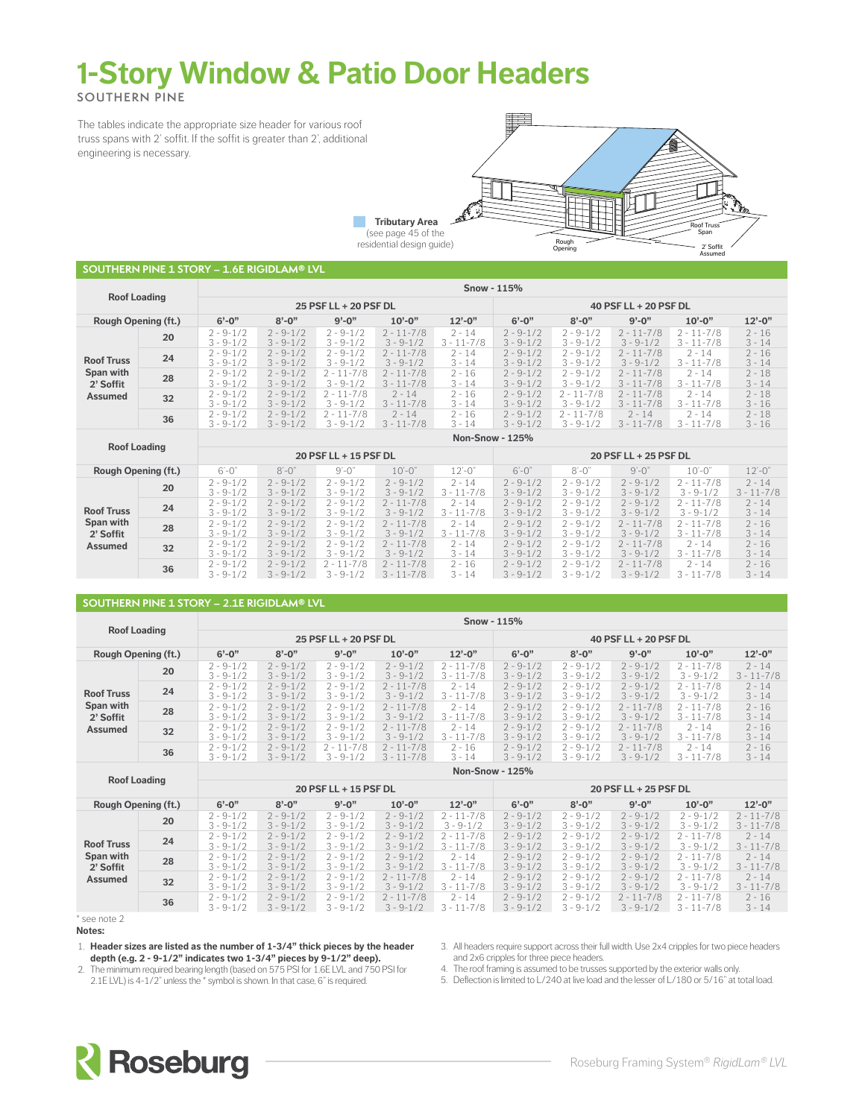# **1-Story Window & Patio Door Headers**

**SOUTHERN PINE**

The tables indicate the appropriate size header for various roof truss spans with 2' soffit. If the soffit is greater than 2', additional engineering is necessary.



**SOUTHERN PINE 1 STORY – 1.6E RIGIDLAM® LVL**

| <b>Roof Loading</b>        |    |                                | Snow - 115%                    |                                 |                                  |                            |                                |                                        |                                  |                                  |                      |  |  |  |  |
|----------------------------|----|--------------------------------|--------------------------------|---------------------------------|----------------------------------|----------------------------|--------------------------------|----------------------------------------|----------------------------------|----------------------------------|----------------------|--|--|--|--|
|                            |    |                                |                                | 25 PSF LL + 20 PSF DL           |                                  |                            | 40 PSF LL + 20 PSF DL          |                                        |                                  |                                  |                      |  |  |  |  |
| <b>Rough Opening (ft.)</b> |    | $6'-0''$                       | $8' - 0''$                     | $9' - 0''$                      | $10'-0$ "                        | $12 - 0$ "                 | $6' - 0''$                     | $8' - 0''$                             | $9' - 0''$                       | $10' - 0''$                      | $12 - 0$ "           |  |  |  |  |
|                            | 20 | $2 - 9 - 1/2$<br>$3 - 9 - 1/2$ | $2 - 9 - 1/2$<br>$3 - 9 - 1/2$ | $2 - 9 - 1/2$<br>$3 - 9 - 1/2$  | $2 - 11 - 7/8$<br>$3 - 9 - 1/2$  | $2 - 14$<br>$3 - 11 - 7/8$ | $2 - 9 - 1/2$<br>$3 - 9 - 1/2$ | $2 - 9 - 1/2$<br>$3 - 9 - 1/2$         | $2 - 11 - 7/8$<br>$3 - 9 - 1/2$  | $2 - 11 - 7/8$<br>$3 - 11 - 7/8$ | $2 - 16$<br>$3 - 14$ |  |  |  |  |
| <b>Roof Truss</b>          | 24 | $2 - 9 - 1/2$<br>$3 - 9 - 1/2$ | $2 - 9 - 1/2$<br>$3 - 9 - 1/2$ | $2 - 9 - 1/2$<br>$3 - 9 - 1/2$  | $2 - 11 - 7/8$<br>$3 - 9 - 1/2$  | $2 - 14$<br>$3 - 14$       | $2 - 9 - 1/2$<br>$3 - 9 - 1/2$ | $2 - 9 - 1/2$<br>$3 - 9 - 1/2$         | $2 - 11 - 7/8$<br>$3 - 9 - 1/2$  | $2 - 14$<br>$3 - 11 - 7/8$       | $2 - 16$<br>$3 - 14$ |  |  |  |  |
| Span with<br>2' Soffit     | 28 | $2 - 9 - 1/2$<br>$3 - 9 - 1/2$ | $2 - 9 - 1/2$<br>$3 - 9 - 1/2$ | $2 - 11 - 7/8$<br>$3 - 9 - 1/2$ | $2 - 11 - 7/8$<br>$3 - 11 - 7/8$ | $2 - 16$<br>$3 - 14$       | $2 - 9 - 1/2$<br>$3 - 9 - 1/2$ | $2 - 9 - 1/2$<br>$3 - 9 - 1/2$         | $2 - 11 - 7/8$<br>$3 - 11 - 7/8$ | $2 - 14$<br>$3 - 11 - 7/8$       | $2 - 18$<br>$3 - 14$ |  |  |  |  |
| Assumed                    | 32 | $2 - 9 - 1/2$<br>$3 - 9 - 1/2$ | $2 - 9 - 1/2$<br>$3 - 9 - 1/2$ | $2 - 11 - 7/8$<br>$3 - 9 - 1/2$ | $2 - 14$<br>$3 - 11 - 7/8$       | $2 - 16$<br>$3 - 14$       | $2 - 9 - 1/2$<br>$3 - 9 - 1/2$ | $1 - 7/8$<br>$2 - 1$<br>$3 - 9 - 1/2$  | $2 - 11 - 7/8$<br>$3 - 11 - 7/8$ | $2 - 14$<br>$3 - 11 - 7/8$       | $2 - 18$<br>$3 - 16$ |  |  |  |  |
| 36                         |    | $2 - 9 - 1/2$<br>$3 - 9 - 1/2$ | $2 - 9 - 1/2$<br>$3 - 9 - 1/2$ | $2 - 11 - 7/8$<br>$3 - 9 - 1/2$ | $2 - 14$<br>$3 - 11 - 7/8$       | $2 - 16$<br>$3 - 14$       | $2 - 9 - 1/2$<br>$3 - 9 - 1/2$ | $11 - 7/8$<br>$2 - 1$<br>$3 - 9 - 1/2$ | $2 - 14$<br>$3 - 11 - 7/8$       | $2 - 14$<br>$3 - 11 - 7/8$       | $2 - 18$<br>$3 - 16$ |  |  |  |  |
|                            |    |                                |                                |                                 |                                  | <b>Non-Snow - 125%</b>     |                                |                                        |                                  |                                  |                      |  |  |  |  |

| <b>Roof Loading</b>                                           |    |                                |                                |                                     |                                  |                            |                                |                                |                                 |                                  |                            |  |
|---------------------------------------------------------------|----|--------------------------------|--------------------------------|-------------------------------------|----------------------------------|----------------------------|--------------------------------|--------------------------------|---------------------------------|----------------------------------|----------------------------|--|
|                                                               |    |                                |                                | 20 PSF LL + 15 PSF DL               |                                  |                            | 20 PSF LL + 25 PSF DL          |                                |                                 |                                  |                            |  |
| <b>Rough Opening (ft.)</b>                                    |    | $6'-0$ "                       | $8'-0$ "                       | $9'-0$ "                            | $10'-0$ "                        | $12 - 0'$                  | $6'-0'$                        | $8' - 0'$                      | $9'-0$ "                        | $10 - 0$ "                       | $12 - 0$ "                 |  |
| <b>Roof Truss</b><br>Span with<br>2' Soffit<br><b>Assumed</b> | 20 | $2 - 9 - 1/2$<br>$3 - 9 - 1/2$ | $2 - 9 - 1/2$<br>$3 - 9 - 1/2$ | $2 - 9 - 1/2$<br>$3 - 9 - 1/2$      | $2 - 9 - 1/2$<br>$3 - 9 - 1/2$   | $2 - 14$<br>$3 - 11 - 7/8$ | $2 - 9 - 1/2$<br>$3 - 9 - 1/2$ | $2 - 9 - 1/2$<br>$3 - 9 - 1/2$ | $2 - 9 - 1/2$<br>$3 - 9 - 1/2$  | $2 - 11 - 7/8$<br>$3 - 9 - 1/2$  | $2 - 14$<br>$3 - 11 - 7/8$ |  |
|                                                               | 24 | $2 - 9 - 1/2$<br>$3 - 9 - 1/2$ | $2 - 9 - 1/2$<br>$3 - 9 - 1/2$ | $2 - 9 - 1/2$<br>$3 - 9 - 1/2$      | $2 - 11 - 7/8$<br>$3 - 9 - 1/2$  | $2 - 14$<br>$3 - 11 - 7/8$ | $2 - 9 - 1/2$<br>$3 - 9 - 1/2$ | $2 - 9 - 1/2$<br>$3 - 9 - 1/2$ | $2 - 9 - 1/2$<br>$3 - 9 - 1/2$  | $2 - 11 - 7/8$<br>$3 - 9 - 1/2$  | $2 - 14$<br>$3 - 14$       |  |
|                                                               | 28 | $2 - 9 - 1/2$<br>$3 - 9 - 1/2$ | $2 - 9 - 1/2$<br>$3 - 9 - 1/2$ | $2 - 9 - 1/2$<br>$3 - 9 - 1/2$      | $2 - 11 - 7/8$<br>$3 - 9 - 1/2$  | $2 - 14$<br>$3 - 11 - 7/8$ | $2 - 9 - 1/2$<br>$3 - 9 - 1/2$ | $2 - 9 - 1/2$<br>$3 - 9 - 1/2$ | $2 - 11 - 7/8$<br>$3 - 9 - 1/2$ | $2 - 11 - 7/8$<br>$3 - 11 - 7/8$ | $2 - 16$<br>$3 - 14$       |  |
|                                                               | 32 | $2 - 9 - 1/2$<br>$3 - 9 - 1/2$ | $2 - 9 - 1/2$<br>$3 - 9 - 1/2$ | $2 - 9 - 1/2$<br>$3 - 9 - 1/2$      | $2 - 11 - 7/8$<br>$3 - 9 - 1/2$  | $2 - 14$<br>$3 - 14$       | $2 - 9 - 1/2$<br>$3 - 9 - 1/2$ | $2 - 9 - 1/2$<br>$3 - 9 - 1/2$ | $2 - 11 - 7/8$<br>$3 - 9 - 1/2$ | $2 - 14$<br>$3 - 11 - 7/8$       | $2 - 16$<br>$3 - 14$       |  |
|                                                               | 36 | $2 - 9 - 1/2$<br>$3 - 9 - 1/2$ | $2 - 9 - 1/2$<br>$3 - 9 - 1/2$ | $1 - 7/8$<br>2 - 1<br>$3 - 9 - 1/2$ | $2 - 11 - 7/8$<br>$3 - 11 - 7/8$ | $2 - 16$<br>$3 - 14$       | $2 - 9 - 1/2$<br>$3 - 9 - 1/2$ | $2 - 9 - 1/2$<br>$3 - 9 - 1/2$ | $2 - 11 - 7/8$<br>$3 - 9 - 1/2$ | $2 - 14$<br>$3 - 11 - 7/8$       | $2 - 16$<br>$3 - 14$       |  |

### **SOUTHERN PINE 1 STORY – 2.1E RIGIDLAM® LVL**

| <b>Roof Loading</b>                                    |    | Snow - $115%$                  |                                |                                     |                                  |                                  |                                |                                |                                 |                                  |                            |  |
|--------------------------------------------------------|----|--------------------------------|--------------------------------|-------------------------------------|----------------------------------|----------------------------------|--------------------------------|--------------------------------|---------------------------------|----------------------------------|----------------------------|--|
|                                                        |    |                                |                                | 25 PSF LL + 20 PSF DL               |                                  |                                  | 40 PSF LL + 20 PSF DL          |                                |                                 |                                  |                            |  |
| Rough Opening (ft.)                                    |    | $6' - 0''$                     | $8' - 0''$                     | $9' - 0''$                          | $10'-0$ "                        | $12 - 0$ "                       | $6'-0''$                       | $8' - 0''$                     | $9' - 0''$                      | $10'-0$ "                        | $12 - 0$ "                 |  |
|                                                        | 20 | $2 - 9 - 1/2$<br>$3 - 9 - 1/2$ | $2 - 9 - 1/2$<br>$3 - 9 - 1/2$ | $2 - 9 - 1/2$<br>$3 - 9 - 1/2$      | $2 - 9 - 1/2$<br>$3 - 9 - 1/2$   | $2 - 11 - 7/8$<br>$3 - 11 - 7/8$ | $2 - 9 - 1/2$<br>$3 - 9 - 1/2$ | $2 - 9 - 1/2$<br>$3 - 9 - 1/2$ | $2 - 9 - 1/2$<br>$3 - 9 - 1/2$  | $2 - 11 - 7/8$<br>$3 - 9 - 1/2$  | $2 - 14$<br>$3 - 11 - 7/8$ |  |
| <b>Roof Truss</b><br>Span with<br>2' Soffit<br>Assumed | 24 | $2 - 9 - 1/2$<br>$3 - 9 - 1/2$ | $2 - 9 - 1/2$<br>$3 - 9 - 1/2$ | $2 - 9 - 1/2$<br>$3 - 9 - 1/2$      | $2 - 11 - 7/8$<br>$3 - 9 - 1/2$  | $2 - 14$<br>$3 - 11 - 7/8$       | $2 - 9 - 1/2$<br>$3 - 9 - 1/2$ | $2 - 9 - 1/2$<br>$3 - 9 - 1/2$ | $2 - 9 - 1/2$<br>$3 - 9 - 1/2$  | $2 - 11 - 7/8$<br>$3 - 9 - 1/2$  | $2 - 14$<br>$3 - 14$       |  |
|                                                        | 28 | $2 - 9 - 1/2$<br>$3 - 9 - 1/2$ | $2 - 9 - 1/2$<br>$3 - 9 - 1/2$ | $2 - 9 - 1/2$<br>$3 - 9 - 1/2$      | $2 - 11 - 7/8$<br>$3 - 9 - 1/2$  | $2 - 14$<br>$3 - 11 - 7/8$       | $2 - 9 - 1/2$<br>$3 - 9 - 1/2$ | $2 - 9 - 1/2$<br>$3 - 9 - 1/2$ | $2 - 11 - 7/8$<br>$3 - 9 - 1/2$ | $2 - 11 - 7/8$<br>$3 - 11 - 7/8$ | $2 - 16$<br>$3 - 14$       |  |
|                                                        | 32 | $2 - 9 - 1/2$<br>$3 - 9 - 1/2$ | $2 - 9 - 1/2$<br>$3 - 9 - 1/2$ | $2 - 9 - 1/2$<br>$3 - 9 - 1/2$      | $2 - 11 - 7/8$<br>$3 - 9 - 1/2$  | $2 - 14$<br>$3 - 11 - 7/8$       | $2 - 9 - 1/2$<br>$3 - 9 - 1/2$ | $2 - 9 - 1/2$<br>$3 - 9 - 1/2$ | $2 - 11 - 7/8$<br>$3 - 9 - 1/2$ | $2 - 14$<br>$3 - 11 - 7/8$       | $2 - 16$<br>$3 - 14$       |  |
|                                                        | 36 | $2 - 9 - 1/2$<br>$3 - 9 - 1/2$ | $2 - 9 - 1/2$<br>$3 - 9 - 1/2$ | $1 - 7/8$<br>2 - 1<br>$3 - 9 - 1/2$ | $2 - 11 - 7/8$<br>$3 - 11 - 7/8$ | $2 - 16$<br>$3 - 14$             | $2 - 9 - 1/2$<br>$3 - 9 - 1/2$ | $2 - 9 - 1/2$<br>$3 - 9 - 1/2$ | $2 - 11 - 7/8$<br>$3 - 9 - 1/2$ | $2 - 14$<br>$3 - 11 - 7/8$       | $2 - 16$<br>$3 - 14$       |  |
|                                                        |    |                                |                                |                                     |                                  | <b>Non-Snow - 125%</b>           |                                |                                |                                 |                                  |                            |  |

| <b>Roof Loading</b>                                           |    | 11911 21101<br>----            |                                |                                |                                 |                                        |                                |                                |                                 |                                  |                                  |  |
|---------------------------------------------------------------|----|--------------------------------|--------------------------------|--------------------------------|---------------------------------|----------------------------------------|--------------------------------|--------------------------------|---------------------------------|----------------------------------|----------------------------------|--|
|                                                               |    |                                |                                | 20 PSF LL + 15 PSF DL          |                                 |                                        | 20 PSF LL + 25 PSF DL          |                                |                                 |                                  |                                  |  |
| <b>Rough Opening (ft.)</b>                                    |    | $6'-0''$                       | $8' - 0''$                     | $9' - 0''$                     | $10'-0$ "                       | $12' - 0''$                            | $6'-0''$                       | $8' - 0''$                     | $9' - 0''$                      | $10'-0$ "                        | $12' - 0''$                      |  |
|                                                               | 20 | $2 - 9 - 1/2$<br>$3 - 9 - 1/2$ | $2 - 9 - 1/2$<br>$3 - 9 - 1/2$ | $2 - 9 - 1/2$<br>$3 - 9 - 1/2$ | $2 - 9 - 1/2$<br>$3 - 9 - 1/2$  | $11 - 7/8$<br>$2 - 1$<br>$3 - 9 - 1/2$ | $2 - 9 - 1/2$<br>$3 - 9 - 1/2$ | $2 - 9 - 1/2$<br>$3 - 9 - 1/2$ | $2 - 9 - 1/2$<br>$3 - 9 - 1/2$  | $2 - 9 - 1/2$<br>$3 - 9 - 1/2$   | $2 - 11 - 7/8$<br>$3 - 11 - 7/8$ |  |
| <b>Roof Truss</b><br>Span with<br>2' Soffit<br><b>Assumed</b> | 24 | $2 - 9 - 1/2$<br>$3 - 9 - 1/2$ | $2 - 9 - 1/2$<br>$3 - 9 - 1/2$ | $2 - 9 - 1/2$<br>$3 - 9 - 1/2$ | $2 - 9 - 1/2$<br>$3 - 9 - 1/2$  | $2 - 11 - 7/8$<br>$3 - 11 - 7/8$       | $2 - 9 - 1/2$<br>$3 - 9 - 1/2$ | $2 - 9 - 1/2$<br>$3 - 9 - 1/2$ | $2 - 9 - 1/2$<br>$3 - 9 - 1/2$  | $2 - 11 - 7/8$<br>$3 - 9 - 1/2$  | $2 - 14$<br>$3 - 11 - 7/8$       |  |
|                                                               | 28 | $2 - 9 - 1/2$<br>$3 - 9 - 1/2$ | $2 - 9 - 1/2$<br>$3 - 9 - 1/2$ | $2 - 9 - 1/2$<br>$3 - 9 - 1/2$ | $2 - 9 - 1/2$<br>$3 - 9 - 1/2$  | $2 - 14$<br>$3 - 11 - 7/8$             | $2 - 9 - 1/2$<br>$3 - 9 - 1/2$ | $2 - 9 - 1/2$<br>$3 - 9 - 1/2$ | $2 - 9 - 1/2$<br>$3 - 9 - 1/2$  | $2 - 11 - 7/8$<br>$3 - 9 - 1/2$  | $2 - 14$<br>$3 - 11 - 7/8$       |  |
|                                                               | 32 | $2 - 9 - 1/2$<br>$3 - 9 - 1/2$ | $2 - 9 - 1/2$<br>$3 - 9 - 1/2$ | $2 - 9 - 1/2$<br>$3 - 9 - 1/2$ | $2 - 11 - 7/8$<br>$3 - 9 - 1/2$ | $2 - 14$<br>$3 - 11 - 7/8$             | $2 - 9 - 1/2$<br>$3 - 9 - 1/2$ | $2 - 9 - 1/2$<br>$3 - 9 - 1/2$ | $2 - 9 - 1/2$<br>$3 - 9 - 1/2$  | $2 - 11 - 7/8$<br>$3 - 9 - 1/2$  | $2 - 14$<br>$3 - 11 - 7/8$       |  |
|                                                               | 36 | $2 - 9 - 1/2$<br>$3 - 9 - 1/2$ | $2 - 9 - 1/2$<br>$3 - 9 - 1/2$ | $2 - 9 - 1/2$<br>$3 - 9 - 1/2$ | $2 - 11 - 7/8$<br>$3 - 9 - 1/2$ | $2 - 14$<br>$3 - 11 - 7/8$             | $2 - 9 - 1/2$<br>$3 - 9 - 1/2$ | $2 - 9 - 1/2$<br>$3 - 9 - 1/2$ | $2 - 11 - 7/8$<br>$3 - 9 - 1/2$ | $2 - 11 - 7/8$<br>$3 - 11 - 7/8$ | $2 - 16$<br>$3 - 14$             |  |

\* see note 2 **Notes:**

1. **Header sizes are listed as the number of 1-3/4" thick pieces by the header depth (e.g. 2 - 9-1/2" indicates two 1-3/4" pieces by 9-1/2" deep).**

3. All headers require support across their full width. Use 2x4 cripples for two piece headers and 2x6 cripples for three piece headers.

2. The minimum required bearing length (based on 575 PSI for 1.6E LVL and 750 PSI for 2.1E LVL) is 4-1/2" unless the \* symbol is shown. In that case, 6" is required.

4. The roof framing is assumed to be trusses supported by the exterior walls only.

5. Deflection is limited to L/240 at live load and the lesser of L/180 or 5/16" at total load.